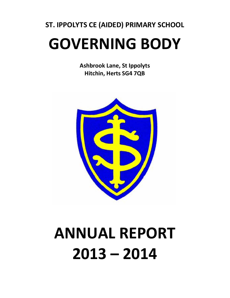## **ST. IPPOLYTS CE (AIDED) PRIMARY SCHOOL GOVERNING BODY**

**Ashbrook Lane, St Ippolyts Hitchin, Herts SG4 7QB**



# **ANNUAL REPORT 2013 – 2014**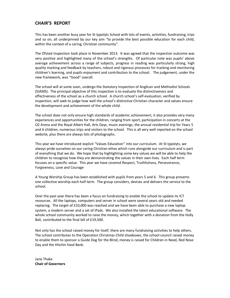#### **CHAIR'S REPORT**

This has been another busy year for St Ippolyts School with lots of events, activities, fundraising, trips and so on, all underpinned by our key aim "to provide the best possible education for each child, within the context of a caring, Christian community".

The Ofsted Inspection took place in November 2013. It was agreed that the inspection outcome was very positive and highlighted many of the school's strengths. Of particular note was pupils' above average achievement across a range of subjects, progress in reading was particularly strong, high quality marking and feedback by teachers, robust and rigorous processes for tracking and monitoring children's learning, and pupils enjoyment and contribution to the school. The judgement, under the new framework, was "Good" overall.

The school will at some soon, undergo the Statutory Inspection of Anglican and Methodist Schools (SIAMS). The principal objective of this inspection is to evaluate the distinctiveness and effectiveness of the school as a church school. A church school's self-evaluation, verified by inspection, will seek to judge how well the school's distinctive Christian character and values ensure the development and achievement of the whole child.

The school does not only ensure high standards of academic achievement, it also provides very many experiences and opportunities for the children, ranging from sport, participation in concerts at the O2 Arena and the Royal Albert Hall, Arts Days, music evenings, the annual residential trip for Years 5 and 6 children, numerous trips and visitors to the school. This is all very well reported on the school website, plus there are always lots of photographs.

This year we have introduced explicit "Values Education" into our curriculum. At St Ippolyts, we always pride ourselves on our caring Christian ethos which runs alongside our curriculum and is part of everything that we do. We hope that by highlighting some key values we will be able to help the children to recognise how they are demonstrating the values in their own lives. Each half term focuses on a specific value. This year we have covered Respect, Truthfulness, Perseverance, Forgiveness, Love and Courage

A Young Worship Group has been established with pupils from years 5 and 6. This group presents one collective worship each half term. The group considers, devises and delivers the service to the school.

Over the past year there has been a focus on fundraising to enable the school to update its ICT resources. All the laptops, computers and server in school were several years old and needed replacing. The target of £10,000 was reached and we have been able to purchase a new laptop system, a modern server and a set of iPads. We also installed the latest educational software. The whole school community worked to raise the money, which together with a donation from the Holly Ball, contributed to the final bill of £19,500.

Not only has the school raised money for itself, there are many fundraising activities to help others. The school contributes to the Operation Christmas Child shoeboxes, the school council raised money to enable them to sponsor a Guide Dog for the Blind, money is raised for Children in Need, Red Nose Day and the Hitchin food Bank.

Jane Thake **Chair of Governers**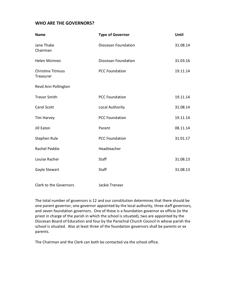#### **WHO ARE THE GOVERNORS?**

| <b>Name</b>                           | <b>Type of Governor</b> | Until    |
|---------------------------------------|-------------------------|----------|
| Jane Thake<br>Chairman                | Diocesan Foundation     | 31.08.14 |
| <b>Helen McInnes</b>                  | Diocesan Foundation     | 31.03.16 |
| <b>Christine Titmuss</b><br>Treasurer | <b>PCC Foundation</b>   | 19.11.14 |
| Revd Ann Pollington                   |                         |          |
| <b>Trevor Smith</b>                   | <b>PCC Foundation</b>   | 19.11.14 |
| <b>Carol Scott</b>                    | Local Authority         | 31.08.14 |
| <b>Tim Harvey</b>                     | <b>PCC Foundation</b>   | 19.11.14 |
| Jill Eaton                            | Parent                  | 08.11.14 |
| Stephen Rule                          | <b>PCC Foundation</b>   | 31.01.17 |
| Rachel Peddie                         | Headteacher             |          |
| Louise Racher                         | Staff                   | 31.08.13 |
| Gayle Stewart                         | Staff                   | 31.08.13 |

Clerk to the Governors Jackie Trenear

The total number of governors is 12 and our constitution determines that there should be one parent governor, one governor appointed by the local authority, three staff governors, and seven foundation governors. One of these is a foundation governor ex officio (ie the priest in charge of the parish in which the school is situated), two are appointed by the Diocesan Board of Education and four by the Parochial Church Council in whose parish the school is situated. Also at least three of the foundation governors shall be parents or ex parents.

The Chairman and the Clerk can both be contacted via the school office.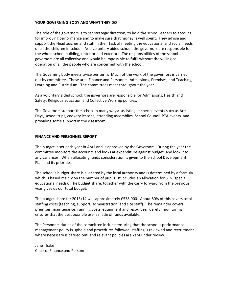#### **YOUR GOVERNING BODY AND WHAT THEY DO**

The role of the governors is to set strategic direction, to hold the school leaders to account for improving performance and to make sure that money is well spent. They advise and support the Headteacher and staff in their task of meeting the educational and social needs of all the children in school. As a voluntary aided school, the governors are responsible for the whole school building, (interior and exterior). The responsibilities of the school governors are all collective and would be impossible to fulfil without the willing cooperation of all the people who are concerned with the school.

The Governing body meets twice per term. Much of the work of the governors is carried out by committee. These are: Finance and Personnel, Admissions, Premises, and Teaching, Learning and Curriculum. The committees meet throughout the year

As a voluntary aided school, the governors are responsible for Admissions, Health and Safety, Religious Education and Collective Worship policies.

The Governors support the school in many ways: assisting at special events such as Arts Days, school trips, cookery lessons, attending assemblies, School Council, PTA events, and providing some support in the classroom.

#### **FINANCE AND PERSONNEL REPORT**

The budget is set each year in April and is approved by the Governors. During the year the committee monitors the accounts and looks at expenditure against budget, and look into any variances. When allocating funds consideration is given to the School Development Plan and its priorities.

The school's budget share is allocated by the local authority and is determined by a formula which is based mainly on the number of pupils. It includes an allocation for SEN (special educational needs). The budget share, together with the carry forward from the previous year gives us our total budget.

The budget share for 2013/14 was approximately £538,000. About 80% of this covers total staffing costs (teaching, support, administration, and site staff). The remainder covers premises, maintenance, running costs, equipment and resources. Careful monitoring ensures that the best possible use is made of funds available.

The Personnel duties of the committee include ensuring that the school's performance management policy is upheld and procedures followed, staffing is reviewed and recruitment where necessary is carried out, and relevant policies are kept under review.

Jane Thake Chair of Finance and Personnel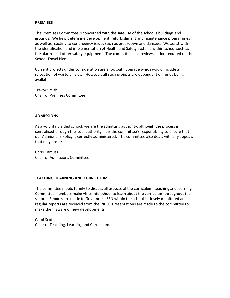#### **PREMISES**

The Premises Committee is concerned with the safe use of the school's buildings and grounds. We help determine development, refurbishment and maintenance programmes as well as reacting to contingency issues such as breakdown and damage. We assist with the identification and implementation of Health and Safety systems within school such as fire alarms and other safety equipment. The committee also reviews action required on the School Travel Plan.

Current projects under consideration are a footpath upgrade which would include a relocation of waste bins etc. However, all such projects are dependent on funds being available.

Trevor Smith Chair of Premises Committee

#### **ADMISSIONS**

As a voluntary aided school, we are the admitting authority, although the process is centralised through the local authority. It is the committee's responsibility to ensure that our Admissions Policy is correctly administered. The committee also deals with any appeals that may ensue.

Chris Titmuss Chair of Admissions Committee

#### **TEACHING, LEARNING AND CURRICULUM**

The committee meets termly to discuss all aspects of the curriculum, teaching and learning. Committee members make visits into school to learn about the curriculum throughout the school. Reports are made to Governors. SEN within the school is closely monitored and regular reports are received from the INCO. Presentations are made to the committee to make them aware of new developments.

Carol Scott Chair of Teaching, Learning and Curriculum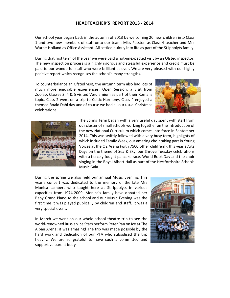#### **HEADTEACHER'S REPORT 2013 - 2014**

Our school year began back in the autumn of 2013 by welcoming 20 new children into Class 1 and two new members of staff onto our team: Miss Patston as Class 4 teacher and Mrs Warne-Holland as Office Assistant. All settled quickly into life as part of the St Ippolyts family.

During that first term of the year we were paid a not-unexpected visit by an Ofsted inspector. The new inspection process is a highly rigorous and stressful experience and credit must be paid to our wonderful staff who were brilliant as ever. We are very pleased with our highly positive report which recognises the school's many strengths.

To counterbalance an Ofsted visit, the autumn term also had lots of much more enjoyable experiences! Open Session, a visit from Zoolab, Classes 3, 4 & 5 visited Verulamium as part of their Romans topic, Class 2 went on a trip to Celtic Harmony, Class 4 enjoyed a themed Roald Dahl day and of course we had all our usual Christmas celebrations.





The Spring Term began with a very useful day spent with staff from our cluster of small schools working together on the introduction of the new National Curriculum which comes into force in September 2014. This was swiftly followed with a very busy term, highlights of which included Family Week, our amazing choir taking part in Young Voices at the O2 Arena (with 7500 other children!), this year's Arts Days on the theme of Sea & Sky, our Shrove Tuesday celebrations with a fiercely fought pancake race, World Book Day and the choir singing in the Royal Albert Hall as part of the Hertfordshire Schools Music Gala.

During the spring we also held our annual Music Evening. This year's concert was dedicated to the memory of the late Mrs Monica Lambert who taught here at St Ippolyts in various capacities from 1974-2009. Monica's family have donated her Baby Grand Piano to the school and our Music Evening was the first time it was played publically by children and staff. It was a very special event.

In March we went on our whole school theatre trip to see the world-renowned Russian Ice Stars perform Peter Pan on Ice at The Alban Arena; it was amazing! The trip was made possible by the hard work and dedication of our PTA who subsidised the trip heavily. We are so grateful to have such a committed and supportive parent body.

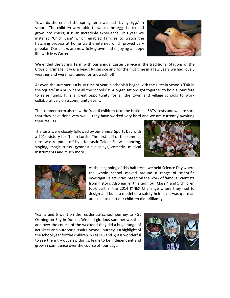Towards the end of the spring term we had 'Living Eggs' in school. The children were able to watch the eggs hatch and grow into chicks; it is an incredible experience. This year we installed 'Chick Cam' which enabled families to watch the hatching process at home via the internet which proved very popular. Our chicks are now fully grown and enjoying a happy life with Mrs Carter.



We ended the Spring Term with our annual Easter Service in the traditional Stations of the Cross pilgrimage. It was a beautiful service and for the first time in a few years we had lovely weather and were not rained (or snowed!) off.

As ever, the summer is a busy time of year in school; it began with the Hitchin Schools 'Fair in the Square' in April where all the schools' PTA organisations got together to hold a joint fete to raise funds. It is a great opportunity for all the town and village schools to work collaboratively on a community event.

The summer term also saw the Year 6 children take the National 'SATs' tests and we are sure that they have done very well – they have worked very hard and we are currently awaiting their results.

The tests were closely followed by our annual Sports Day with a 2014 victory for 'Team Lords'. The first half of the summer term was rounded off by a fantastic Talent Show – dancing, singing, magic tricks, gymnastic displays, comedy, musical instruments and much more.





At the beginning of this half term, we held Science Day where the whole school moved around a range of scientific investigative activities based on the work of famous Scientists from history. Also earlier this term our Class 4 and 5 children took part in the 2014 K'NEX Challenge where they had to design and build a model of a safety helmet; it was quite an unusual task but our children did brilliantly.

Year 5 and 6 went on the residential school journey to PGL Osmington Bay in Dorset. We had glorious summer weather and over the course of the weekend they did a huge range of activities and outdoor pursuits. School Journey is a highlight of the school year for the children in Years 5 and 6; it is wonderful to see them try out new things, learn to be independent and grow in confidence over the course of four days.

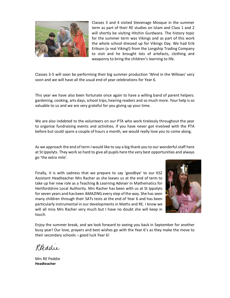

Classes 3 and 4 visited Stevenage Mosque in the summer term as part of their RE studies on Islam and Class 1 and 2 will shortly be visiting Hitchin Gurdwara. The history topic for the summer term was Vikings and as part of this work the whole school dressed up for Vikings Day. We had Erik Erikson (a real Viking!) from the Longship Trading Company to visit and he brought lots of artefacts, clothing and weaponry to bring the children's learning to life.

Classes 3-5 will soon be performing their big summer production 'Wind in the Willows' very soon and we will have all the usual end of year celebrations for Year 6.

This year we have also been fortunate once again to have a willing band of parent helpers: gardening, cooking, arts days, school trips, hearing readers and so much more. Your help is so valuable to us and we are very grateful for you giving up your time.

We are also indebted to the volunteers on our PTA who work tirelessly throughout the year to organise fundraising events and activities; if you have never got involved with the PTA before but could spare a couple of hours a month, we would really love you to come along.

As we approach the end of term I would like to say a big thank you to our wonderful staff here at St Ippolyts. They work so hard to give all pupils here the very best opportunities and always go 'the extra mile'.

Finally, it is with sadness that we prepare to say 'goodbye' to our KS2 Assistant Headteacher Mrs Racher as she leaves us at the end of term to take up her new role as a Teaching & Learning Adviser in Mathematics for Hertfordshire Local Authority. Mrs Racher has been with us at St Ippolyts for seven years and has been AMAZING every step of the way. She has seen many children through their SATs tests at the end of Year 6 and has been particularly instrumental in our developments in Maths and RE. I know we will all miss Mrs Racher very much but I have no doubt she will keep in touch.



Enjoy the summer break, and we look forward to seeing you back in September for another busy year! Our love, prayers and best wishes go with the Year 6's as they make the move to their secondary schools – good luck Year 6!

Reddie

Mrs RE Peddie **Headteacher**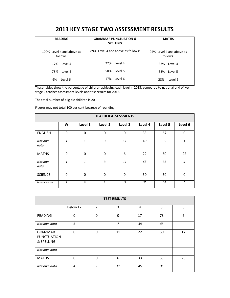## **2013 KEY STAGE TWO ASSESSMENT RESULTS**

| <b>READING</b>                        | <b>GRAMMAR PUNCTUATION &amp;</b><br><b>SPELLING</b> | <b>MATHS</b>                         |  |
|---------------------------------------|-----------------------------------------------------|--------------------------------------|--|
| 100% Level 4 and above as<br>follows: | 89% Level 4 and above as follows:                   | 94% Level 4 and above as<br>follows: |  |
| 17%                                   | Level 4                                             | 33%                                  |  |
| Level 4                               | 22%                                                 | Level 4                              |  |
| 78%                                   | 50%                                                 | 33%                                  |  |
| Level 5                               | Level 5                                             | Level 5                              |  |
| 6%                                    | Level 6                                             | 28%                                  |  |
| Level 6                               | 17%                                                 | Level 6                              |  |

These tables show the percentage of children achieving each level in 2013, compared to national end of key stage 2 teacher assessment levels and test results for 2012.

The total number of eligible children is 20

Figures may not total 100 per cent because of rounding.

| <b>TEACHER ASSESSMENTS</b> |              |          |                |             |         |         |                |
|----------------------------|--------------|----------|----------------|-------------|---------|---------|----------------|
|                            | W            | Level 1  | Level 2        | Level 3     | Level 4 | Level 5 | Level 6        |
| <b>ENGLISH</b>             | $\Omega$     | 0        | $\mathbf 0$    | 0           | 33      | 67      | $\mathbf 0$    |
| <b>National</b><br>data    | $\mathbf{1}$ | 1        | 3              | 11          | 49      | 35      | 1              |
| <b>MATHS</b>               | $\Omega$     | $\Omega$ | $\Omega$       | 6           | 22      | 50      | 22             |
| <b>National</b><br>data    | $\mathbf{1}$ | 1        | $\overline{3}$ | 11          | 45      | 36      | $\overline{4}$ |
| <b>SCIENCE</b>             | $\Omega$     | $\Omega$ | $\mathbf 0$    | $\mathbf 0$ | 50      | 50      | $\mathbf 0$    |
| National data              | $\mathbf{1}$ | 0        | $\overline{2}$ | 11          | 50      | 36      | 0              |

| <b>TEST RESULTS</b>                                |                |                |                |    |    |    |
|----------------------------------------------------|----------------|----------------|----------------|----|----|----|
|                                                    | Below L2       | $\overline{2}$ | 3              | 4  | 5  | 6  |
| READING                                            | $\Omega$       | $\Omega$       | $\Omega$       | 17 | 78 | 6  |
| National data                                      | 6              |                | $\overline{z}$ | 38 | 48 |    |
| <b>GRAMMAR</b><br><b>PUNCTUATION</b><br>& SPELLING | $\Omega$       | $\Omega$       | 11             | 22 | 50 | 17 |
| National data                                      |                |                |                |    |    |    |
| <b>MATHS</b>                                       | $\mathbf 0$    | $\Omega$       | 6              | 33 | 33 | 28 |
| National data                                      | $\overline{4}$ |                | 11             | 45 | 36 | 3  |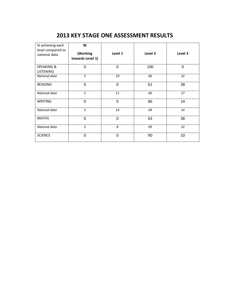## **2013 KEY STAGE ONE ASSESSMENT RESULTS**

| % achieving each<br>level compared to<br>national data | W<br>(Working<br>towards Level 1) | Level 1     | Level 2 | Level 3 |
|--------------------------------------------------------|-----------------------------------|-------------|---------|---------|
| <b>SPEAKING &amp;</b><br><b>LISTENING</b>              | $\overline{0}$                    | $\mathbf 0$ | 100     | 0       |
| National data                                          | $\overline{2}$                    | 10          | 66      | 22      |
| <b>READING</b>                                         | $\mathbf 0$                       | $\mathbf 0$ | 61      | 38      |
| National data                                          | $\overline{2}$                    | 11          | 60      | 27      |
| <b>WRITING</b>                                         | $\mathbf 0$                       | $\mathbf 0$ | 86      | 14      |
| National data                                          | $\overline{3}$                    | 14          | 69      | 14      |
| <b>MATHS</b>                                           | $\overline{0}$                    | $\mathbf 0$ | 63      | 38      |
| National data                                          | $\overline{2}$                    | 8           | 69      | 22      |
| <b>SCIENCE</b>                                         | $\mathbf 0$                       | $\mathbf 0$ | 90      | 10      |